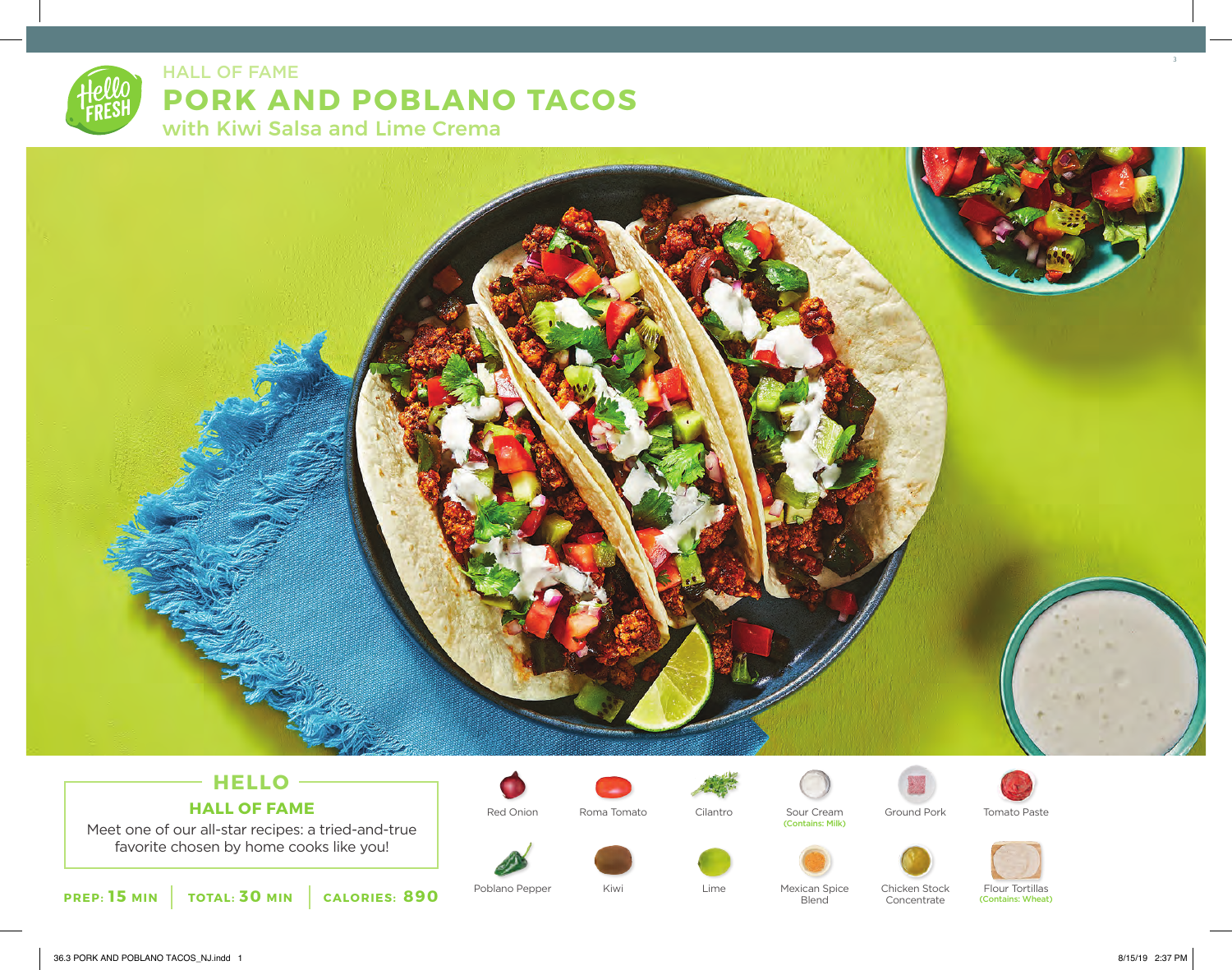



## **HELLO HALL OF FAME**

Meet one of our all-star recipes: a tried-and-true favorite chosen by home cooks like you!



Poblano Pepper Miwi Kiwi Kime



Kiwi





**Blend** 



Concentrate





Mexican Spice Chicken Stock Flour Tortillas (Contains: Wheat)

3